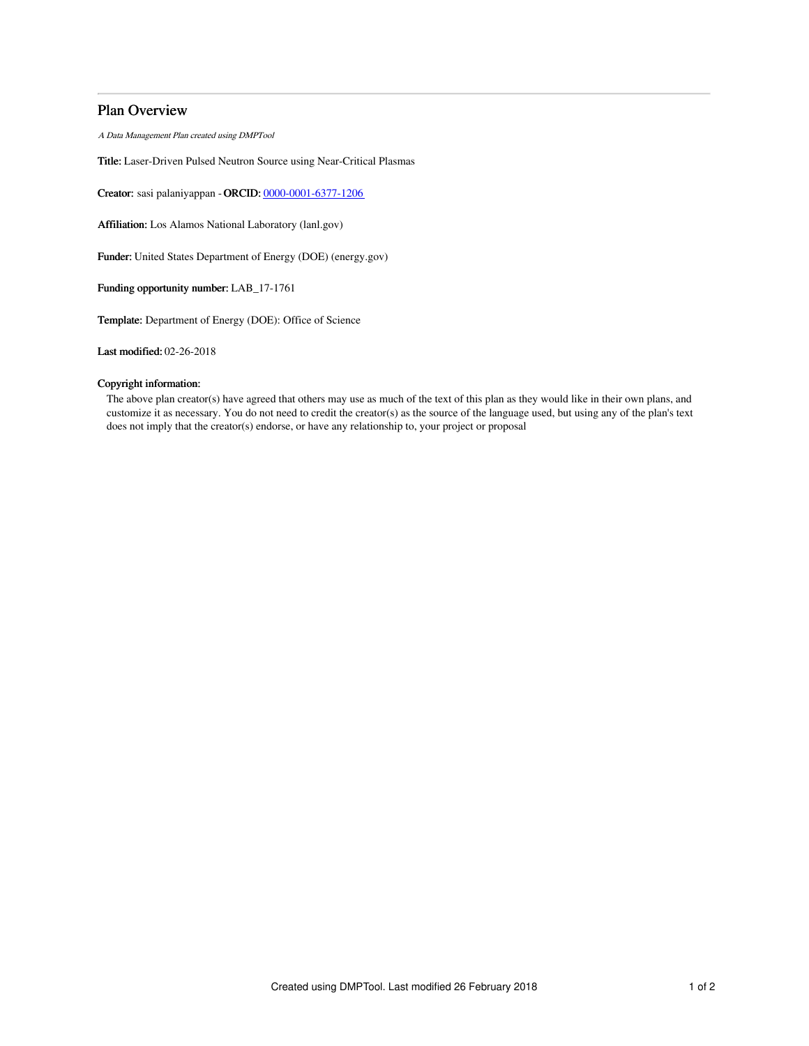# Plan Overview

A Data Management Plan created using DMPTool

Title: Laser-Driven Pulsed Neutron Source using Near-Critical Plasmas

Creator: sasi palaniyappan -ORCID: [0000-0001-6377-1206](https://orcid.org/0000-0001-6377-1206)

Affiliation: Los Alamos National Laboratory (lanl.gov)

Funder: United States Department of Energy (DOE) (energy.gov)

Funding opportunity number: LAB\_17-1761

Template: Department of Energy (DOE): Office of Science

Last modified: 02-26-2018

# Copyright information:

The above plan creator(s) have agreed that others may use as much of the text of this plan as they would like in their own plans, and customize it as necessary. You do not need to credit the creator(s) as the source of the language used, but using any of the plan's text does not imply that the creator(s) endorse, or have any relationship to, your project or proposal